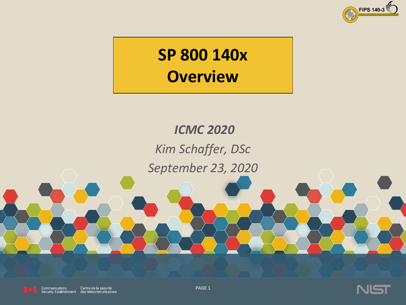

## **SP 800 140x Overview**

## *ICMC 2020 Kim Schaffer, DSc September 23, 2020*



Communications Centre de la sécurité Security Establishment des télécommunications



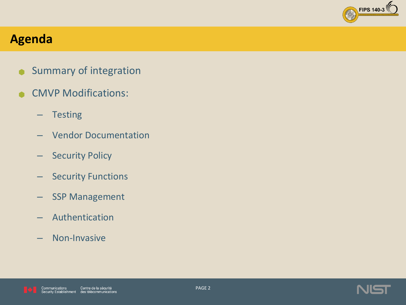

#### **Agenda**

- **Summary of integration**
- **CMVP Modifications:** 
	- Testing
	- Vendor Documentation
	- Security Policy
	- Security Functions
	- SSP Management
	- Authentication
	- Non-Invasive



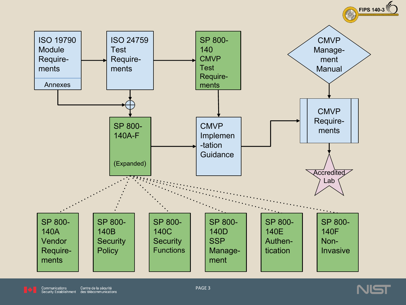



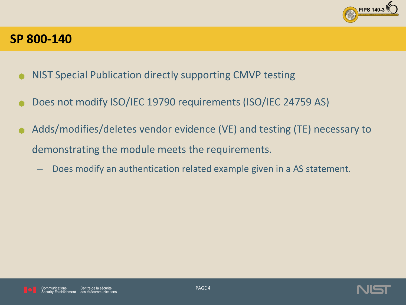

#### **SP 800-140**

- NIST Special Publication directly supporting CMVP testing
- Does not modify ISO/IEC 19790 requirements (ISO/IEC 24759 AS)
- Adds/modifies/deletes vendor evidence (VE) and testing (TE) necessary to demonstrating the module meets the requirements.
	- Does modify an authentication related example given in a AS statement.



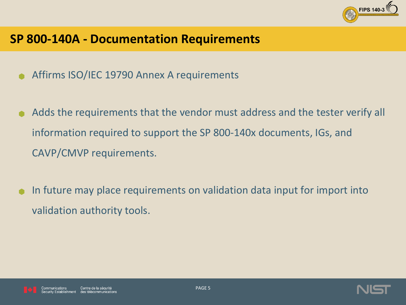

#### **SP 800-140A - Documentation Requirements**

- Affirms ISO/IEC 19790 Annex A requirements
- Adds the requirements that the vendor must address and the tester verify all information required to support the SP 800-140x documents, IGs, and CAVP/CMVP requirements.
- In future may place requirements on validation data input for import into validation authority tools.



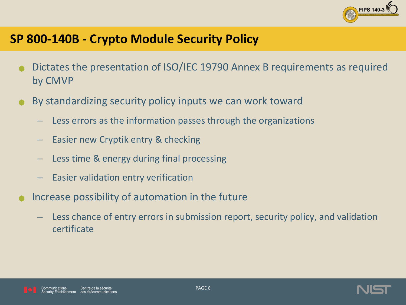

#### **SP 800-140B - Crypto Module Security Policy**

- Dictates the presentation of ISO/IEC 19790 Annex B requirements as required by CMVP
- By standardizing security policy inputs we can work toward
	- Less errors as the information passes through the organizations
	- Easier new Cryptik entry & checking
	- Less time & energy during final processing
	- Easier validation entry verification
- Increase possibility of automation in the future
	- Less chance of entry errors in submission report, security policy, and validation certificate



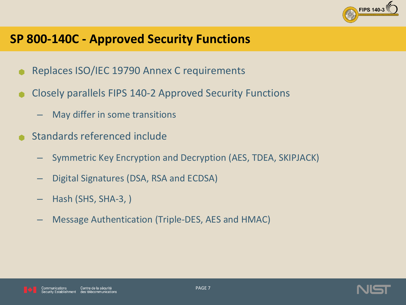

#### **SP 800-140C - Approved Security Functions**

- Replaces ISO/IEC 19790 Annex C requirements
- Closely parallels FIPS 140-2 Approved Security Functions
	- May differ in some transitions
- Standards referenced include
	- Symmetric Key Encryption and Decryption (AES, TDEA, SKIPJACK)
	- Digital Signatures (DSA, RSA and ECDSA)
	- Hash (SHS, SHA-3, )
	- Message Authentication (Triple-DES, AES and HMAC)





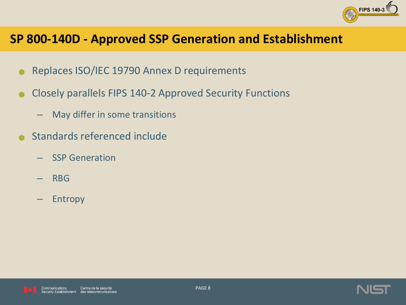

#### **SP 800-140D - Approved SSP Generation and Establishment**

- Replaces ISO/IEC 19790 Annex D requirements
- Closely parallels FIPS 140-2 Approved Security Functions
	- $-$  May differ in some transitions
- Standards referenced include
	- SSP Generation
	- RBG
	- Entropy



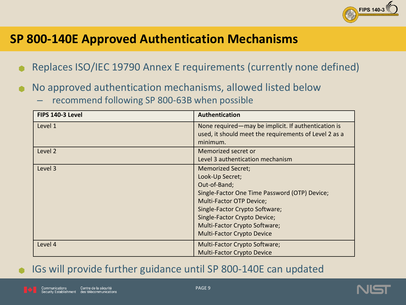

#### **SP 800-140E Approved Authentication Mechanisms**

- Replaces ISO/IEC 19790 Annex E requirements (currently none defined)
- No approved authentication mechanisms, allowed listed below
	- recommend following SP 800-63B when possible

| FIPS 140-3 Level | <b>Authentication</b>                                                                                                                                                                                                                                                                   |
|------------------|-----------------------------------------------------------------------------------------------------------------------------------------------------------------------------------------------------------------------------------------------------------------------------------------|
| Level 1          | None required—may be implicit. If authentication is<br>used, it should meet the requirements of Level 2 as a<br>minimum.                                                                                                                                                                |
| Level 2          | Memorized secret or<br>Level 3 authentication mechanism                                                                                                                                                                                                                                 |
| Level 3          | <b>Memorized Secret;</b><br>Look-Up Secret;<br>Out-of-Band;<br>Single-Factor One Time Password (OTP) Device;<br><b>Multi-Factor OTP Device;</b><br>Single-Factor Crypto Software;<br>Single-Factor Crypto Device;<br>Multi-Factor Crypto Software;<br><b>Multi-Factor Crypto Device</b> |
| Level 4          | Multi-Factor Crypto Software;<br><b>Multi-Factor Crypto Device</b>                                                                                                                                                                                                                      |

#### IGs will provide further guidance until SP 800-140E can updated



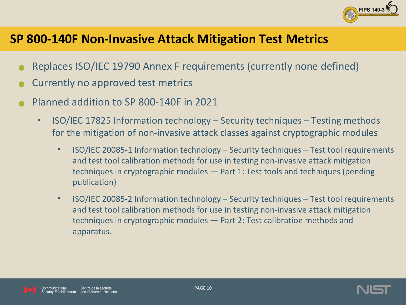

#### **SP 800-140F Non-Invasive Attack Mitigation Test Metrics**

- Replaces ISO/IEC 19790 Annex F requirements (currently none defined)
- Currently no approved test metrics
- Planned addition to SP 800-140F in 2021
	- ISO/IEC 17825 Information technology Security techniques Testing methods for the mitigation of non-invasive attack classes against cryptographic modules
		- ISO/IEC 20085-1 Information technology Security techniques Test tool requirements and test tool calibration methods for use in testing non-invasive attack mitigation techniques in cryptographic modules  $-$  Part 1: Test tools and techniques (pending publication)
		- ISO/IEC 20085-2 Information technology Security techniques Test tool requirements and test tool calibration methods for use in testing non-invasive attack mitigation techniques in cryptographic modules – Part 2: Test calibration methods and apparatus.